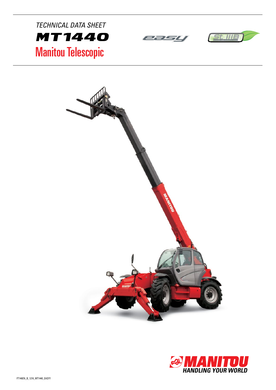







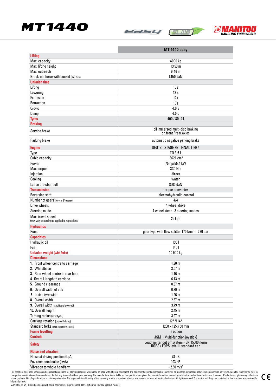





|                                                                     | <b>MT 1440 easy</b>                                                              |
|---------------------------------------------------------------------|----------------------------------------------------------------------------------|
| <b>Lifting</b>                                                      |                                                                                  |
| Max. capacity                                                       | 4000 kg                                                                          |
| Max. lifting height                                                 | 13.53 m                                                                          |
| Max. outreach                                                       | 9.46 <sub>m</sub>                                                                |
| Break-out force with bucket (ISO 8313)                              | 8150 daN                                                                         |
| <b>Unladen time</b>                                                 |                                                                                  |
| Lifting                                                             | 16s                                                                              |
| Lowering                                                            | 12s                                                                              |
| Extension                                                           | 17s                                                                              |
| Retraction                                                          | 13s                                                                              |
| Crowd                                                               | 4.0 s                                                                            |
| Dump                                                                | 4.0 s                                                                            |
| <b>Tyres</b>                                                        | 400 / 80 - 24                                                                    |
| <b>Braking</b>                                                      |                                                                                  |
| Service brake                                                       | oil immersed multi-disc braking<br>on front / rear axles                         |
| Parking brake                                                       | automatic negative parking brake                                                 |
| <b>Engine</b>                                                       | DEUTZ - STAGE 3B - FINAL TIER 4                                                  |
| Type                                                                | TD 3.6 L                                                                         |
| Cubic capacity                                                      | 3621 $cm3$                                                                       |
| Power                                                               | 75 hp/55.4 kW                                                                    |
| Max torque                                                          | 330 Nm                                                                           |
| Injection                                                           | direct                                                                           |
| Cooling                                                             | water                                                                            |
| Laden drawbar pull                                                  | 8500 daN                                                                         |
| <b>Transmission</b>                                                 | torque converter                                                                 |
| Reversing shift                                                     | electrohydraulic control                                                         |
| Number of gears (forward/reverse)                                   | 4/4                                                                              |
| Drive wheels                                                        | 4 wheel drive                                                                    |
| Steering mode                                                       | 4 wheel steer - 3 steering modes                                                 |
| Max. travel speed<br>(may vary according to applicable regulations) | 25 kph                                                                           |
| <b>Hydraulics</b>                                                   |                                                                                  |
| Pump                                                                | gear type with flow splitter 170 l/min - 270 bar                                 |
| <b>Capacities</b>                                                   |                                                                                  |
| Hydraulic oil                                                       | 135 <sub>1</sub>                                                                 |
| Fuel                                                                | 140 <sub>l</sub>                                                                 |
| <b>Unladen weight (with forks)</b>                                  | 10 900 kg                                                                        |
| <b>Dimensions</b>                                                   |                                                                                  |
| 1. Front wheel centre to carriage                                   | 1.90 <sub>m</sub>                                                                |
| 2. Wheelbase                                                        | 3.07 <sub>m</sub>                                                                |
| 3. Rear wheel centre to rear face                                   | 1.16 <sub>m</sub>                                                                |
| 4 Overall length to carriage                                        | 6.13 m                                                                           |
| 5. Ground clearance                                                 | 0.37 <sub>m</sub>                                                                |
| 6. Overall width of cab                                             | 0.89 <sub>m</sub>                                                                |
|                                                                     |                                                                                  |
| 7. Inside tyre width<br>8. Overall width                            | 1.96 <sub>m</sub>                                                                |
| 9. Overall width (stabilizers lowered)                              | 2.37 <sub>m</sub>                                                                |
|                                                                     | 3.79 <sub>m</sub>                                                                |
| 10. Overall height                                                  | 2.45 <sub>m</sub>                                                                |
| Turning radius (over tyres)                                         | 3.97 m                                                                           |
| Carriage rotation (crowd / dump)                                    | 12°/114°                                                                         |
| Standard forks (length x width x thickness)                         | 1200 x 125 x 50 mm                                                               |
| <b>Frame levelling</b>                                              | in option                                                                        |
| <b>Controls</b>                                                     | JSM <sup>*</sup> (Multi-function joystick)                                       |
| <b>Safety</b>                                                       | Load limiter cut off system - EN 15000 norm<br>ROPS / FOPS level II standard cab |
| <b>Noise and vibration</b>                                          |                                                                                  |
| Noise at driving position (LpA)                                     | 78 dB                                                                            |
| Environmental noise (LwA)                                           | 103 dB                                                                           |
| Vibration to whole hand/arm                                         | $< 2.50$ m/s <sup>2</sup>                                                        |

This brochure describes versions and configuration options for Manitou products which may be fitted with different equipment. The equipment described in this brochure may be standard, optional or not available depending on

information only. MANITOU BF SA - Limited company with board of directors - Share capital: 39,547,824 euros - 857 802 508 RCS Nantes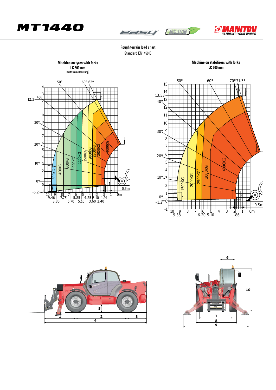





## **Rough terrain load chart**

Standard EN1459 B





**Machine on stabilizers with forks**